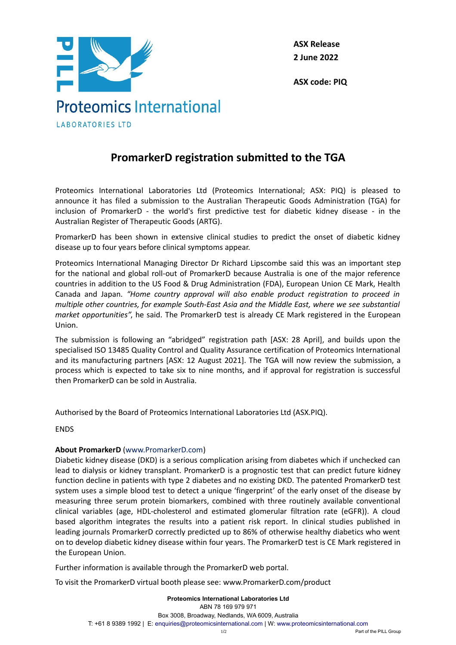

**ASX Release 2 June 2022**

**ASX code: PIQ**

## **PromarkerD registration submitted to the TGA**

Proteomics International Laboratories Ltd (Proteomics International; ASX: PIQ) is pleased to announce it has filed a submission to the Australian Therapeutic Goods Administration (TGA) for inclusion of PromarkerD - the world's first predictive test for diabetic kidney disease - in the Australian Register of Therapeutic Goods (ARTG).

PromarkerD has been shown in extensive clinical studies to predict the onset of diabetic kidney disease up to four years before clinical symptoms appear.

Proteomics International Managing Director Dr Richard Lipscombe said this was an important step for the national and global roll-out of PromarkerD because Australia is one of the major reference countries in addition to the US Food & Drug Administration (FDA), European Union CE Mark, Health Canada and Japan. *"Home country approval will also enable product registration to proceed in multiple other countries, for example South-East Asia and the Middle East, where we see substantial market opportunities"*, he said. The PromarkerD test is already CE Mark registered in the European Union.

The submission is following an "abridged" registration path [ASX: 28 April], and builds upon the specialised ISO 13485 Quality Control and Quality Assurance certification of Proteomics International and its manufacturing partners [ASX: 12 August 2021]. The TGA will now review the submission, a process which is expected to take six to nine months, and if approval for registration is successful then PromarkerD can be sold in Australia.

Authorised by the Board of Proteomics International Laboratories Ltd (ASX.PIQ).

ENDS

## **About PromarkerD** (www.PromarkerD.com)

Diabetic kidney disease (DKD) is a serious complication arising from diabetes which if unchecked can lead to dialysis or kidney transplant. PromarkerD is a prognostic test that can predict future kidney function decline in patients with type 2 diabetes and no existing DKD. The patented PromarkerD test system uses a simple blood test to detect a unique 'fingerprint' of the early onset of the disease by measuring three serum protein biomarkers, combined with three routinely available conventional clinical variables (age, HDL-cholesterol and estimated glomerular filtration rate (eGFR)). A cloud based algorithm integrates the results into a patient risk report. In clinical studies published in leading journals PromarkerD correctly predicted up to 86% of otherwise healthy diabetics who went on to develop diabetic kidney disease within four years. The PromarkerD test is CE Mark registered in the European Union.

Further information is available through the PromarkerD web portal.

To visit the PromarkerD virtual booth please see: www.PromarkerD.com/product